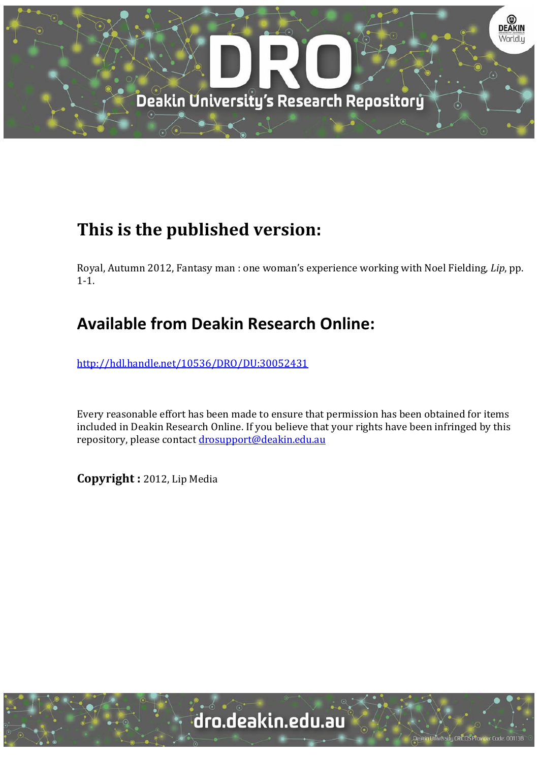

## **This is the published version:**

Royal, Autumn 2012, Fantasy man : one woman's experience working with Noel Fielding, *Lip*, pp.  $1 - 1$ .

## **Available from Deakin Research Online:**

http://hdl.handle.net/10536/DRO/DU:30052431

Every reasonable effort has been made to ensure that permission has been obtained for items included in Deakin Research Online. If you believe that your rights have been infringed by this repository, please contact drosupport@deakin.edu.au

**Copyright :** 2012, Lip Media 

University CRICOS Provider Code: 00113E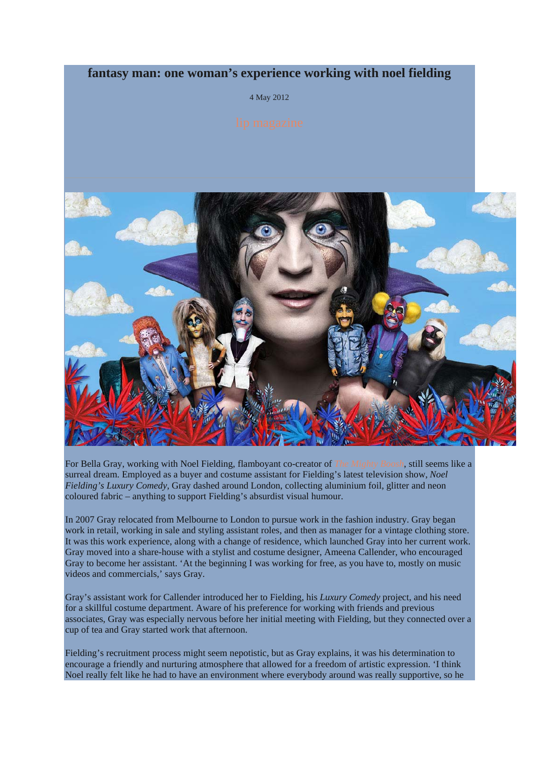## **fantasy man: one woman's experience working with noel fielding**

4 May 2012



For Bella Gray, working with Noel Fielding, flamboyant co-creator of *The Mighty Boosh*, still seems like a surreal dream. Employed as a buyer and costume assistant for Fielding's latest television show, *Noel Fielding's Luxury Comedy*, Gray dashed around London, collecting aluminium foil, glitter and neon coloured fabric – anything to support Fielding's absurdist visual humour.

In 2007 Gray relocated from Melbourne to London to pursue work in the fashion industry. Gray began work in retail, working in sale and styling assistant roles, and then as manager for a vintage clothing store. It was this work experience, along with a change of residence, which launched Gray into her current work. Gray moved into a share-house with a stylist and costume designer, Ameena Callender, who encouraged Gray to become her assistant. 'At the beginning I was working for free, as you have to, mostly on music videos and commercials,' says Gray.

Gray's assistant work for Callender introduced her to Fielding, his *Luxury Comedy* project, and his need for a skillful costume department. Aware of his preference for working with friends and previous associates, Gray was especially nervous before her initial meeting with Fielding, but they connected over a cup of tea and Gray started work that afternoon.

Fielding's recruitment process might seem nepotistic, but as Gray explains, it was his determination to encourage a friendly and nurturing atmosphere that allowed for a freedom of artistic expression. 'I think Noel really felt like he had to have an environment where everybody around was really supportive, so he